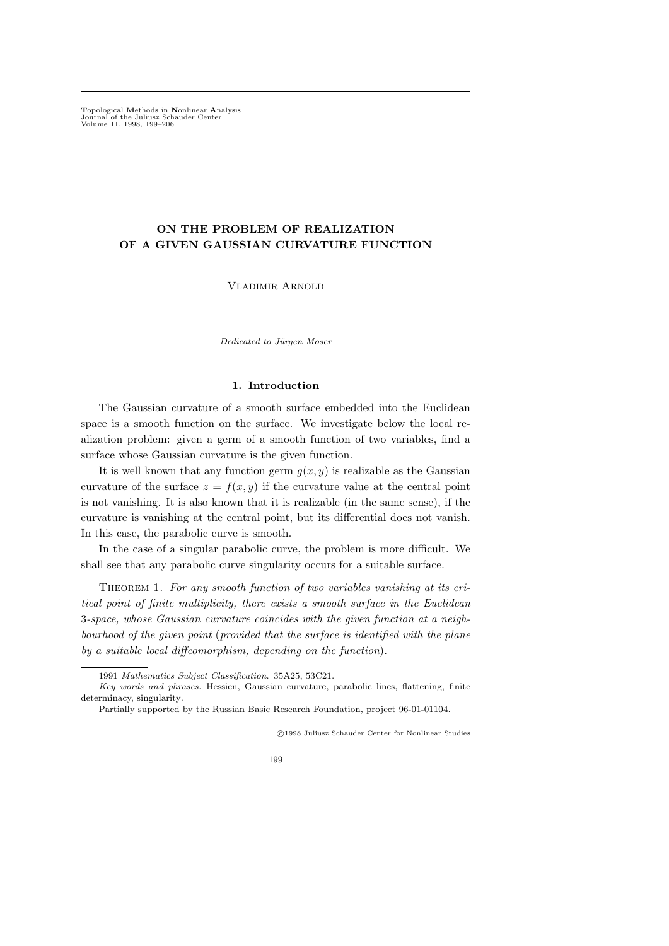Topological Methods in Nonlinear Analysis Journal of the Juliusz Schauder Center Volume 11, 1998, 199–206

# ON THE PROBLEM OF REALIZATION OF A GIVEN GAUSSIAN CURVATURE FUNCTION

Vladimir Arnold

Dedicated to Jürgen Moser

### 1. Introduction

The Gaussian curvature of a smooth surface embedded into the Euclidean space is a smooth function on the surface. We investigate below the local realization problem: given a germ of a smooth function of two variables, find a surface whose Gaussian curvature is the given function.

It is well known that any function germ  $g(x, y)$  is realizable as the Gaussian curvature of the surface  $z = f(x, y)$  if the curvature value at the central point is not vanishing. It is also known that it is realizable (in the same sense), if the curvature is vanishing at the central point, but its differential does not vanish. In this case, the parabolic curve is smooth.

In the case of a singular parabolic curve, the problem is more difficult. We shall see that any parabolic curve singularity occurs for a suitable surface.

THEOREM 1. For any smooth function of two variables vanishing at its critical point of finite multiplicity, there exists a smooth surface in the Euclidean 3-space, whose Gaussian curvature coincides with the given function at a neighbourhood of the given point (provided that the surface is identified with the plane by a suitable local diffeomorphism, depending on the function).

c 1998 Juliusz Schauder Center for Nonlinear Studies

199

<sup>1991</sup> Mathematics Subject Classification. 35A25, 53C21.

Key words and phrases. Hessien, Gaussian curvature, parabolic lines, flattening, finite determinacy, singularity.

Partially supported by the Russian Basic Research Foundation, project 96-01-01104.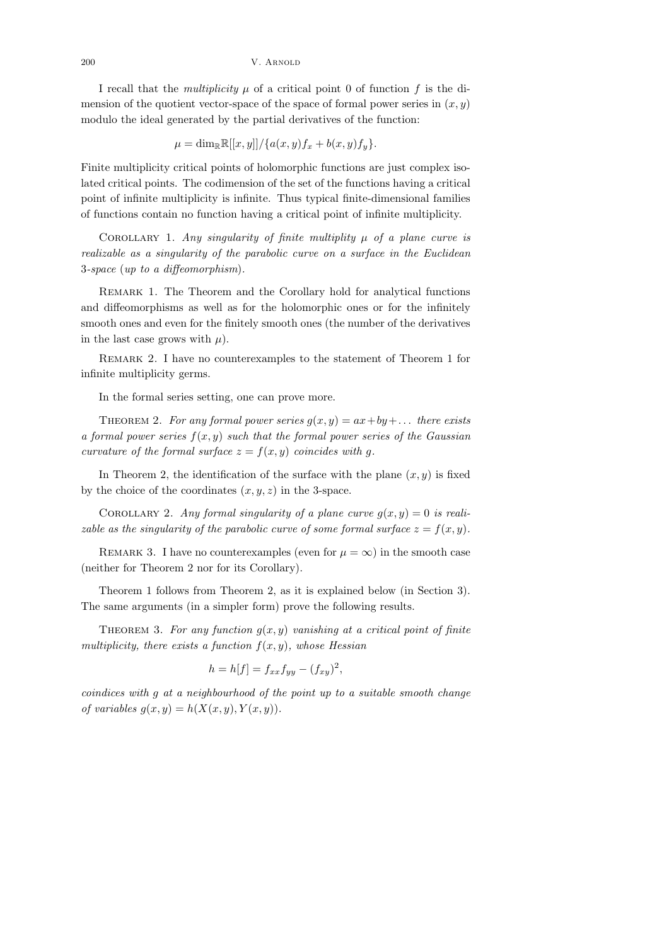I recall that the *multiplicity*  $\mu$  of a critical point 0 of function f is the dimension of the quotient vector-space of the space of formal power series in  $(x, y)$ modulo the ideal generated by the partial derivatives of the function:

 $\mu = \dim_{\mathbb{R}} \mathbb{R}[[x, y]] / \{a(x, y)f_x + b(x, y)f_y\}.$ 

Finite multiplicity critical points of holomorphic functions are just complex isolated critical points. The codimension of the set of the functions having a critical point of infinite multiplicity is infinite. Thus typical finite-dimensional families of functions contain no function having a critical point of infinite multiplicity.

COROLLARY 1. Any singularity of finite multiplity  $\mu$  of a plane curve is realizable as a singularity of the parabolic curve on a surface in the Euclidean 3-space (up to a diffeomorphism).

Remark 1. The Theorem and the Corollary hold for analytical functions and diffeomorphisms as well as for the holomorphic ones or for the infinitely smooth ones and even for the finitely smooth ones (the number of the derivatives in the last case grows with  $\mu$ ).

Remark 2. I have no counterexamples to the statement of Theorem 1 for infinite multiplicity germs.

In the formal series setting, one can prove more.

THEOREM 2. For any formal power series  $g(x, y) = ax + by + \dots$  there exists a formal power series  $f(x, y)$  such that the formal power series of the Gaussian curvature of the formal surface  $z = f(x, y)$  coincides with g.

In Theorem 2, the identification of the surface with the plane  $(x, y)$  is fixed by the choice of the coordinates  $(x, y, z)$  in the 3-space.

COROLLARY 2. Any formal singularity of a plane curve  $q(x, y) = 0$  is realizable as the singularity of the parabolic curve of some formal surface  $z = f(x, y)$ .

REMARK 3. I have no counterexamples (even for  $\mu = \infty$ ) in the smooth case (neither for Theorem 2 nor for its Corollary).

Theorem 1 follows from Theorem 2, as it is explained below (in Section 3). The same arguments (in a simpler form) prove the following results.

THEOREM 3. For any function  $g(x, y)$  vanishing at a critical point of finite multiplicity, there exists a function  $f(x, y)$ , whose Hessian

$$
h = h[f] = f_{xx}f_{yy} - (f_{xy})^2,
$$

coindices with g at a neighbourhood of the point up to a suitable smooth change of variables  $g(x, y) = h(X(x, y), Y(x, y)).$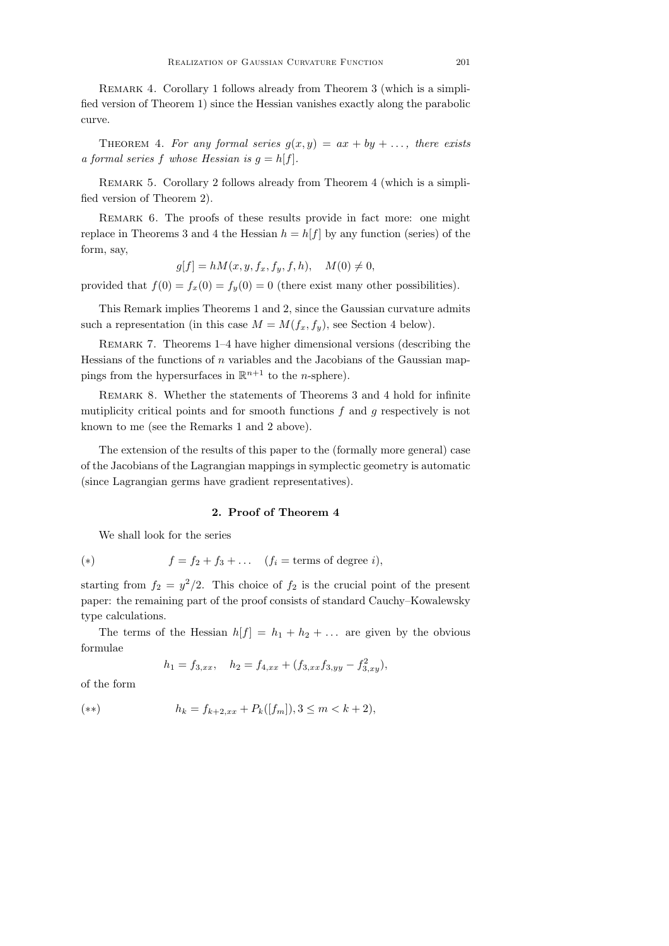REMARK 4. Corollary 1 follows already from Theorem 3 (which is a simplified version of Theorem 1) since the Hessian vanishes exactly along the parabolic curve.

THEOREM 4. For any formal series  $g(x, y) = ax + by + \dots$ , there exists a formal series f whose Hessian is  $g = h[f]$ .

Remark 5. Corollary 2 follows already from Theorem 4 (which is a simplified version of Theorem 2).

REMARK 6. The proofs of these results provide in fact more: one might replace in Theorems 3 and 4 the Hessian  $h = h[f]$  by any function (series) of the form, say,

$$
g[f] = hM(x, y, f_x, f_y, f, h), \quad M(0) \neq 0,
$$

provided that  $f(0) = f_x(0) = f_y(0) = 0$  (there exist many other possibilities).

This Remark implies Theorems 1 and 2, since the Gaussian curvature admits such a representation (in this case  $M = M(f_x, f_y)$ , see Section 4 below).

Remark 7. Theorems 1–4 have higher dimensional versions (describing the Hessians of the functions of  $n$  variables and the Jacobians of the Gaussian mappings from the hypersurfaces in  $\mathbb{R}^{n+1}$  to the *n*-sphere).

Remark 8. Whether the statements of Theorems 3 and 4 hold for infinite mutiplicity critical points and for smooth functions  $f$  and  $g$  respectively is not known to me (see the Remarks 1 and 2 above).

The extension of the results of this paper to the (formally more general) case of the Jacobians of the Lagrangian mappings in symplectic geometry is automatic (since Lagrangian germs have gradient representatives).

## 2. Proof of Theorem 4

We shall look for the series

(\*) 
$$
f = f_2 + f_3 + \dots \quad (f_i = \text{terms of degree } i),
$$

starting from  $f_2 = y^2/2$ . This choice of  $f_2$  is the crucial point of the present paper: the remaining part of the proof consists of standard Cauchy–Kowalewsky type calculations.

The terms of the Hessian  $h[f] = h_1 + h_2 + \dots$  are given by the obvious formulae

$$
h_1 = f_{3,xx}, \quad h_2 = f_{4,xx} + (f_{3,xx}f_{3,yy} - f_{3,xy}^2),
$$

of the form

$$
(*) \t\t\t h_k = f_{k+2,xx} + P_k([f_m]), 3 \le m < k+2),
$$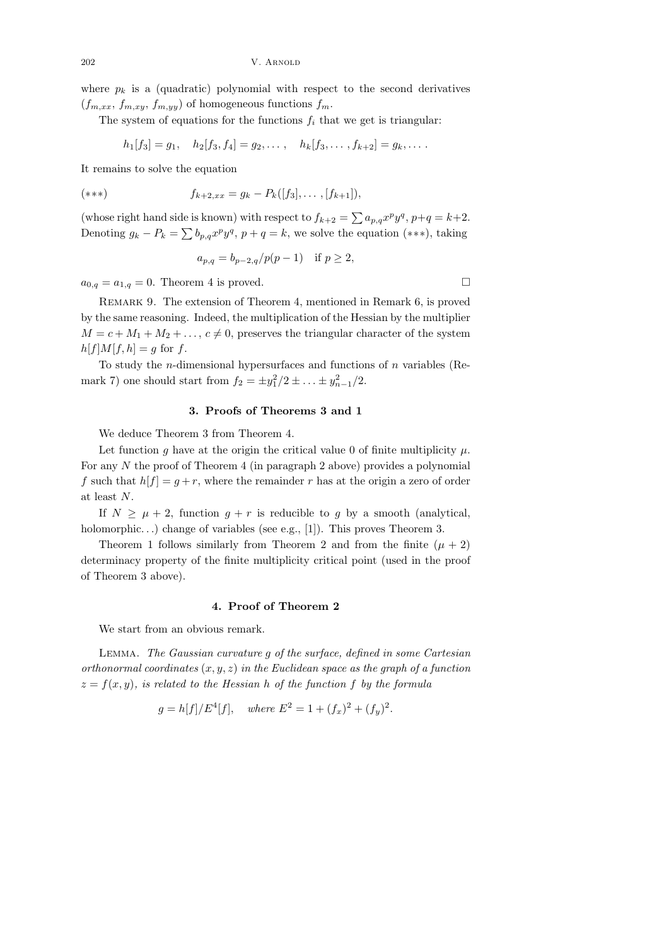where  $p_k$  is a (quadratic) polynomial with respect to the second derivatives  $(f_{m,xx}, f_{m,xy}, f_{m,yy})$  of homogeneous functions  $f_m$ .

The system of equations for the functions  $f_i$  that we get is triangular:

 $h_1[f_3] = g_1, \quad h_2[f_3, f_4] = g_2, \ldots, \quad h_k[f_3, \ldots, f_{k+2}] = g_k, \ldots$ 

It remains to solve the equation

$$
(*)\qquad \qquad f_{k+2,xx} = g_k - P_k([f_3],\ldots,[f_{k+1}]),
$$

(whose right hand side is known) with respect to  $f_{k+2} = \sum a_{p,q} x^p y^q$ ,  $p+q = k+2$ . Denoting  $g_k - P_k = \sum b_{p,q} x^p y^q$ ,  $p + q = k$ , we solve the equation (\*\*\*), taking

$$
a_{p,q} = b_{p-2,q}/p(p-1)
$$
 if  $p \ge 2$ ,

 $a_{0,q} = a_{1,q} = 0$ . Theorem 4 is proved.

Remark 9. The extension of Theorem 4, mentioned in Remark 6, is proved by the same reasoning. Indeed, the multiplication of the Hessian by the multiplier  $M = c + M_1 + M_2 + \ldots, c \neq 0$ , preserves the triangular character of the system  $h[f]M[f,h] = q$  for f.

To study the *n*-dimensional hypersurfaces and functions of  $n$  variables (Remark 7) one should start from  $f_2 = \pm y_1^2/2 \pm \ldots \pm y_{n-1}^2/2$ .

### 3. Proofs of Theorems 3 and 1

We deduce Theorem 3 from Theorem 4.

Let function q have at the origin the critical value 0 of finite multiplicity  $\mu$ . For any  $N$  the proof of Theorem 4 (in paragraph 2 above) provides a polynomial f such that  $h[f] = g + r$ , where the remainder r has at the origin a zero of order at least N.

If  $N > \mu + 2$ , function  $q + r$  is reducible to q by a smooth (analytical, holomorphic...) change of variables (see e.g., [1]). This proves Theorem 3.

Theorem 1 follows similarly from Theorem 2 and from the finite  $(\mu + 2)$ determinacy property of the finite multiplicity critical point (used in the proof of Theorem 3 above).

### 4. Proof of Theorem 2

We start from an obvious remark.

Lemma. The Gaussian curvature g of the surface, defined in some Cartesian orthonormal coordinates  $(x, y, z)$  in the Euclidean space as the graph of a function  $z = f(x, y)$ , is related to the Hessian h of the function f by the formula

$$
g = h[f]/E^4[f]
$$
, where  $E^2 = 1 + (f_x)^2 + (f_y)^2$ .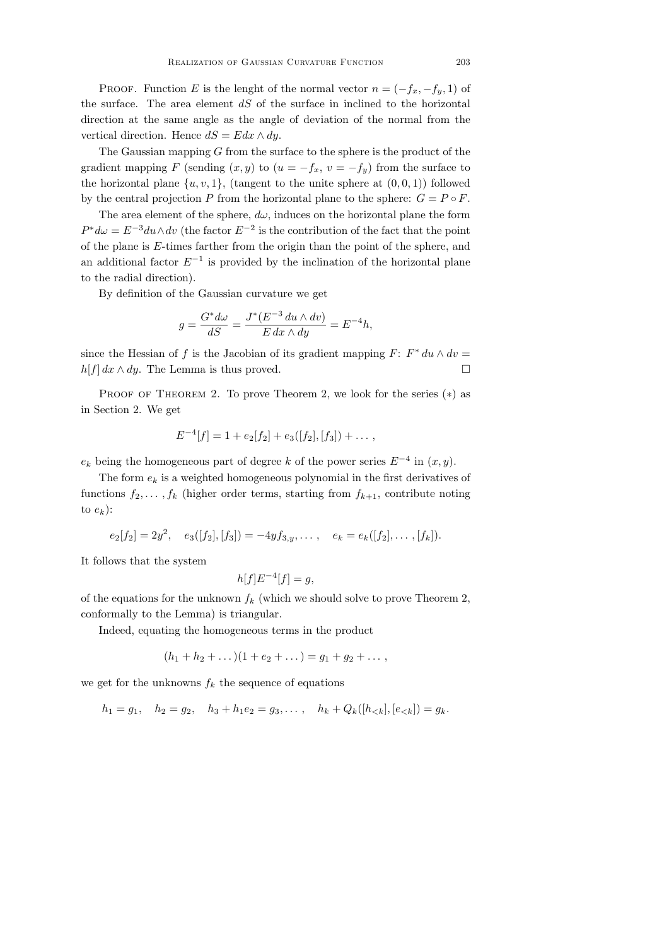PROOF. Function E is the lenght of the normal vector  $n = (-f_x, -f_y, 1)$  of the surface. The area element  $dS$  of the surface in inclined to the horizontal direction at the same angle as the angle of deviation of the normal from the vertical direction. Hence  $dS = Edx \wedge dy$ .

The Gaussian mapping  $G$  from the surface to the sphere is the product of the gradient mapping F (sending  $(x, y)$  to  $(u = -f_x, v = -f_y)$  from the surface to the horizontal plane  $\{u, v, 1\}$ , (tangent to the unite sphere at  $(0, 0, 1)$ ) followed by the central projection P from the horizontal plane to the sphere:  $G = P \circ F$ .

The area element of the sphere,  $d\omega$ , induces on the horizontal plane the form  $P^*d\omega = E^{-3}du \wedge dv$  (the factor  $E^{-2}$  is the contribution of the fact that the point of the plane is E-times farther from the origin than the point of the sphere, and an additional factor  $E^{-1}$  is provided by the inclination of the horizontal plane to the radial direction).

By definition of the Gaussian curvature we get

$$
g=\frac{G^*d\omega}{dS}=\frac{J^*(E^{-3}\,du\wedge dv)}{E\,dx\wedge dy}=E^{-4}h,
$$

since the Hessian of f is the Jacobian of its gradient mapping  $F: F^* du \wedge dv =$  $h[f] dx \wedge dy$ . The Lemma is thus proved.

PROOF OF THEOREM 2. To prove Theorem 2, we look for the series  $(*)$  as in Section 2. We get

$$
E^{-4}[f] = 1 + e_2[f_2] + e_3([f_2], [f_3]) + \dots,
$$

 $e_k$  being the homogeneous part of degree k of the power series  $E^{-4}$  in  $(x, y)$ .

The form  $e_k$  is a weighted homogeneous polynomial in the first derivatives of functions  $f_2, \ldots, f_k$  (higher order terms, starting from  $f_{k+1}$ , contribute noting to  $e_k$ ):

$$
e_2[f_2] = 2y^2, \quad e_3([f_2], [f_3]) = -4yf_{3,y}, \dots, \quad e_k = e_k([f_2], \dots, [f_k]).
$$

It follows that the system

$$
h[f]E^{-4}[f] = g,
$$

of the equations for the unknown  $f_k$  (which we should solve to prove Theorem 2, conformally to the Lemma) is triangular.

Indeed, equating the homogeneous terms in the product

$$
(h_1 + h_2 + \dots)(1 + e_2 + \dots) = g_1 + g_2 + \dots,
$$

we get for the unknowns  $f_k$  the sequence of equations

 $h_1 = g_1$ ,  $h_2 = g_2$ ,  $h_3 + h_1 e_2 = g_3$ ,...,  $h_k + Q_k([h_{< k}], [e_{< k}]) = g_k$ .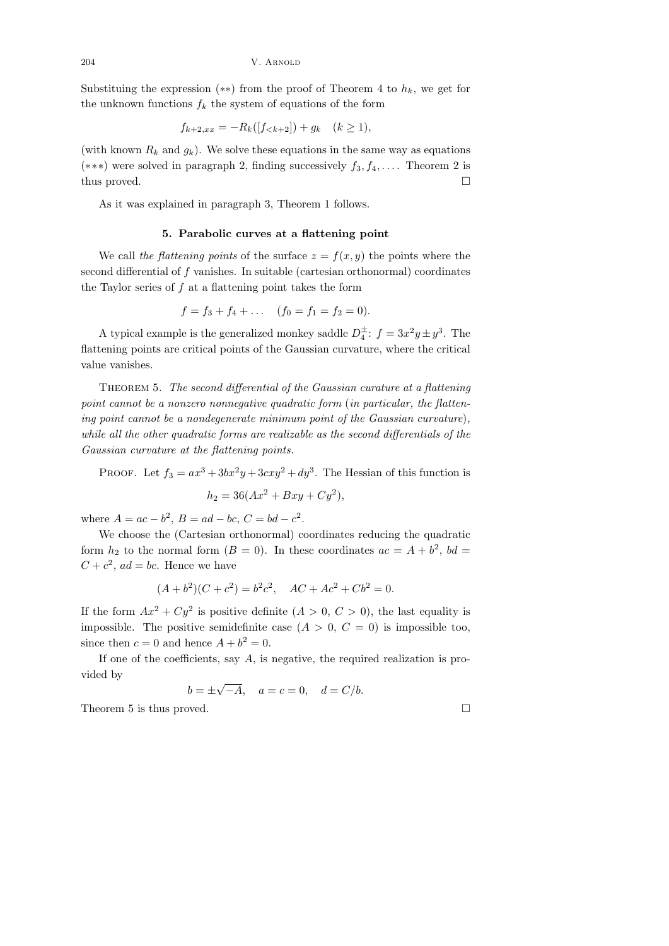Substituing the expression  $(**)$  from the proof of Theorem 4 to  $h_k$ , we get for the unknown functions  $f_k$  the system of equations of the form

$$
f_{k+2,xx} = -R_k([f_{< k+2}]) + g_k \quad (k \ge 1),
$$

(with known  $R_k$  and  $g_k$ ). We solve these equations in the same way as equations (\*\*\*) were solved in paragraph 2, finding successively  $f_3, f_4, \ldots$  Theorem 2 is thus proved.  $\square$ 

As it was explained in paragraph 3, Theorem 1 follows.

## 5. Parabolic curves at a flattening point

We call the flattening points of the surface  $z = f(x, y)$  the points where the second differential of f vanishes. In suitable (cartesian orthonormal) coordinates the Taylor series of  $f$  at a flattening point takes the form

$$
f = f_3 + f_4 + \dots
$$
  $(f_0 = f_1 = f_2 = 0).$ 

A typical example is the generalized monkey saddle  $D_4^{\pm}$ :  $f = 3x^2y \pm y^3$ . The flattening points are critical points of the Gaussian curvature, where the critical value vanishes.

THEOREM 5. The second differential of the Gaussian curature at a flattening point cannot be a nonzero nonnegative quadratic form (in particular, the flattening point cannot be a nondegenerate minimum point of the Gaussian curvature), while all the other quadratic forms are realizable as the second differentials of the Gaussian curvature at the flattening points.

PROOF. Let  $f_3 = ax^3 + 3bx^2y + 3cxy^2 + dy^3$ . The Hessian of this function is

$$
h_2 = 36(Ax^2 + Bxy + Cy^2),
$$

where  $A = ac - b^2$ ,  $B = ad - bc$ ,  $C = bd - c^2$ .

We choose the (Cartesian orthonormal) coordinates reducing the quadratic form  $h_2$  to the normal form  $(B = 0)$ . In these coordinates  $ac = A + b^2$ ,  $bd =$  $C + c^2$ , ad = bc. Hence we have

$$
(A + b2)(C + c2) = b2c2, AC + Ac2 + Cb2 = 0.
$$

If the form  $Ax^2 + Cy^2$  is positive definite  $(A > 0, C > 0)$ , the last equality is impossible. The positive semidefinite case  $(A > 0, C = 0)$  is impossible too, since then  $c = 0$  and hence  $A + b^2 = 0$ .

If one of the coefficients, say  $A$ , is negative, the required realization is provided by √

$$
b = \pm \sqrt{-A}
$$
,  $a = c = 0$ ,  $d = C/b$ .

Theorem 5 is thus proved.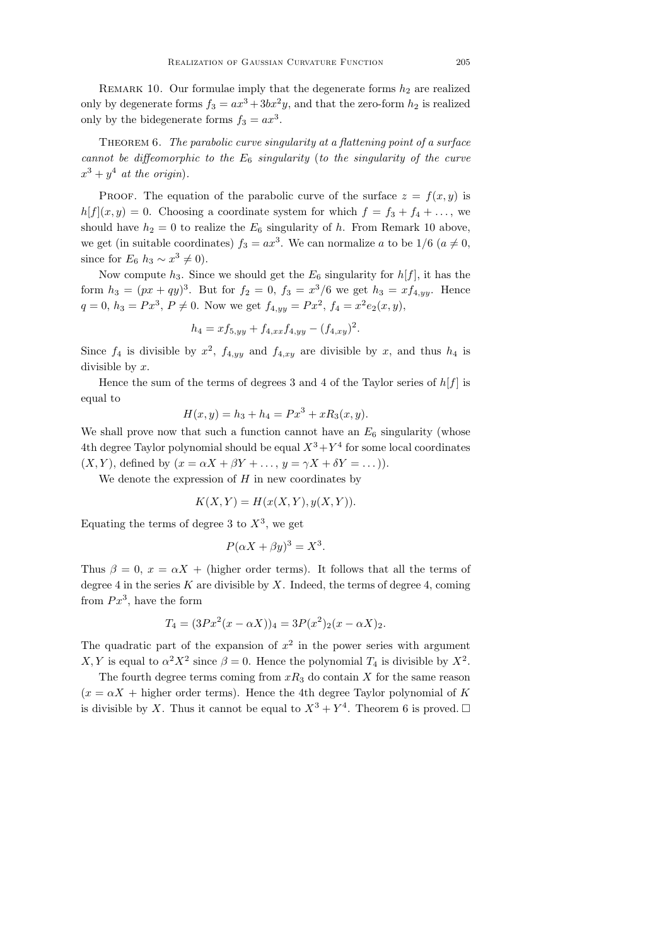REMARK 10. Our formulae imply that the degenerate forms  $h_2$  are realized only by degenerate forms  $f_3 = ax^3 + 3bx^2y$ , and that the zero-form  $h_2$  is realized only by the bidegenerate forms  $f_3 = ax^3$ .

THEOREM 6. The parabolic curve singularity at a flattening point of a surface cannot be diffeomorphic to the  $E_6$  singularity (to the singularity of the curve  $x^3 + y^4$  at the origin).

PROOF. The equation of the parabolic curve of the surface  $z = f(x, y)$  is  $h[f](x, y) = 0$ . Choosing a coordinate system for which  $f = f_3 + f_4 + ...$ , we should have  $h_2 = 0$  to realize the  $E_6$  singularity of h. From Remark 10 above, we get (in suitable coordinates)  $f_3 = ax^3$ . We can normalize a to be  $1/6$  ( $a \neq 0$ , since for  $E_6$   $h_3 \sim x^3 \neq 0$ ).

Now compute  $h_3$ . Since we should get the  $E_6$  singularity for  $h[f]$ , it has the form  $h_3 = (px + qy)^3$ . But for  $f_2 = 0$ ,  $f_3 = x^3/6$  we get  $h_3 = x f_{4,yy}$ . Hence  $q = 0, h_3 = Px^3, P \neq 0$ . Now we get  $f_{4,yy} = Px^2, f_4 = x^2 e_2(x, y)$ ,

$$
h_4 = x f_{5,yy} + f_{4,xx} f_{4,yy} - (f_{4,xy})^2.
$$

Since  $f_4$  is divisible by  $x^2$ ,  $f_{4,yy}$  and  $f_{4,xy}$  are divisible by x, and thus  $h_4$  is divisible by  $x$ .

Hence the sum of the terms of degrees 3 and 4 of the Taylor series of  $h[f]$  is equal to

$$
H(x, y) = h_3 + h_4 = Px^3 + xR_3(x, y).
$$

We shall prove now that such a function cannot have an  $E_6$  singularity (whose 4th degree Taylor polynomial should be equal  $X^3 + Y^4$  for some local coordinates  $(X, Y)$ , defined by  $(x = \alpha X + \beta Y + \ldots, y = \gamma X + \delta Y = \ldots)$ ).

We denote the expression of  $H$  in new coordinates by

$$
K(X,Y) = H(x(X,Y), y(X,Y)).
$$

Equating the terms of degree 3 to  $X^3$ , we get

$$
P(\alpha X + \beta y)^3 = X^3.
$$

Thus  $\beta = 0$ ,  $x = \alpha X +$  (higher order terms). It follows that all the terms of degree 4 in the series K are divisible by X. Indeed, the terms of degree 4, coming from  $Px^3$ , have the form

$$
T_4 = (3Px^2(x - \alpha X))_4 = 3P(x^2)_2(x - \alpha X)_2.
$$

The quadratic part of the expansion of  $x^2$  in the power series with argument X, Y is equal to  $\alpha^2 X^2$  since  $\beta = 0$ . Hence the polynomial  $T_4$  is divisible by  $X^2$ .

The fourth degree terms coming from  $xR_3$  do contain X for the same reason  $(x = \alpha X + h$  higher order terms). Hence the 4th degree Taylor polynomial of K is divisible by X. Thus it cannot be equal to  $X^3 + Y^4$ . Theorem 6 is proved.  $\Box$